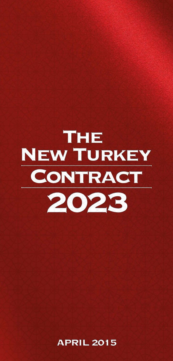

**APRIL 2015**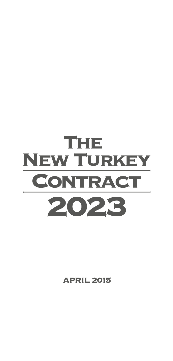# THE **NEW TURKEY CONTRACT** 2023

**APRIL 2015**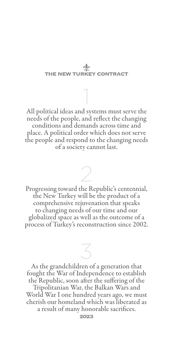### THE NEW TU

1

All political ideas and systems must serve the needs of the people, and reflect the changing conditions and demands across time and place. A political order which does not serve the people and respond to the changing needs of a society cannot last.

Progressing toward the Republic's centennial, the New Turkey will be the product of a comprehensive rejuvenation that speaks to changing needs of our time and our globalized space as well as the outcome of a process of Turkey's reconstruction since 2002.

2

3

As the grandchildren of a generation that fought the War of Independence to establish the Republic, soon after the suffering of the Tripolitanian War, the Balkan Wars and World War I one hundred years ago, we must cherish our homeland which was liberated as a result of many honorable sacrifices. 2023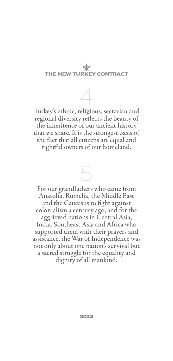### $\%$ <br>THE NEW TURKEY CONTRACT

4

Turkey's ethnic, religious, sectarian and regional diversity reflects the beauty of the inheritence of our ancient history that we share. It is the strongest basis of the fact that all citizens are equal and rightful owners of our homeland.

 $5$ 

For our grandfathers who came from Anatolia, Rumelia, the Middle East and the Caucasus to fight against colonialism a century ago, and for the aggrieved nations in Central Asia, India, Southeast Asia and Africa who supported them with their prayers and assistance, the War of Independence was not only about one nation's survival but a sacred struggle for the equality and dignity of all mankind.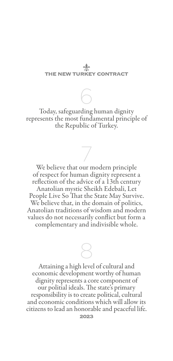### ୍ମୀ୍ଟ<br>RKEY CONTRACT THE NEW TUR

# 6

Today, safeguarding human dignity represents the most fundamental principle of the Republic of Turkey.

We believe that our modern principle of respect for human dignity represent a reflection of the advice of a 13th century Anatolian mystic Sheikh Edebali, Let People Live So That the State May Survive. We believe that, in the domain of politics, Anatolian traditions of wisdom and modern values do not necessarily conflict but form a complementary and indivisible whole. 7

8

Attaining a high level of cultural and economic development worthy of human dignity represents a core component of our politial ideals. The state's primary responsibility is to create political, cultural and economic conditions which will allow its citizens to lead an honorable and peaceful life. 2023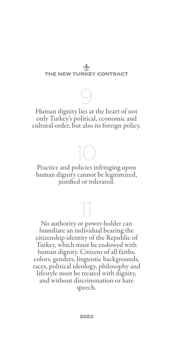## $\mathcal{C}$ <br>THE NEW TURKEY CONTRACT

# 9

Human dignity lies at the heart of not only Turkey's political, economic and cultural order, but also its foreign policy.

### Practice and policies infringing upon human dignity cannot be legitimized, justified or tolerated.

11

10

No authority or power-holder can humiliate an individual bearing the citizenship identity of the Republic of Turkey, which must be endowed with human dignity. Citizens of all faiths, colors, genders, linguistic backgrounds, races, political ideology, philosophy and lifestyle must be treated with dignity, and without discrimination or hate speech.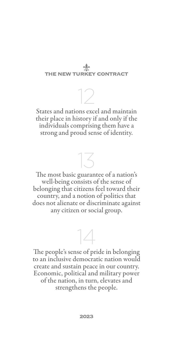

States and nations excel and maintain their place in history if and only if the individuals comprising them have a strong and proud sense of identity.

The most basic guarantee of a nation's well-being consists of the sense of belonging that citizens feel toward their country, and a notion of politics that does not alienate or discriminate against any citizen or social group.

13

14

The people's sense of pride in belonging to an inclusive democratic nation would create and sustain peace in our country. Economic, political and military power of the nation, in turn, elevates and strengthens the people.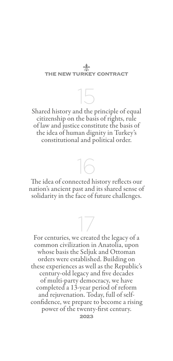#### ी<mark>ूू:</mark><br>IRKEY CONTRACT THE NEW TUR

15

Shared history and the principle of equal citizenship on the basis of rights, rule of law and justice constitute the basis of the idea of human dignity in Turkey's constitutional and political order.

The idea of connected history reflects our nation's ancient past and its shared sense of solidarity in the face of future challenges.

16

17

For centuries, we created the legacy of a common civilization in Anatolia, upon whose basis the Seljuk and Ottoman orders were established. Building on these experiences as well as the Republic's century-old legacy and five decades of multi-party democracy, we have completed a 13-year period of reform and rejuvenation. Today, full of selfconfidence, we prepare to become a rising power of the twenty-first century. 2023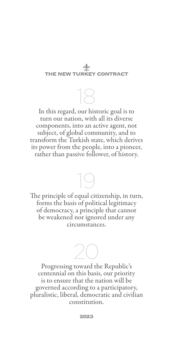## ↑ ↑<br>THE NEW TURKEY CONTRACT



In this regard, our historic goal is to turn our nation, with all its diverse components, into an active agent, not subject, of global community, and to transform the Turkish state, which derives its power from the people, into a pioneer, rather than passive follower, of history.



The principle of equal citizenship, in turn, forms the basis of political legitimacy of democracy, a principle that cannot be weakened nor ignored under any circumstances.



Progressing toward the Republic's centennial on this basis, our priority is to ensure that the nation will be governed according to a participatory, pluralistic, liberal, democratic and civilian constitution.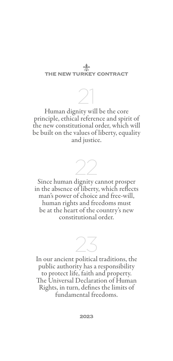## THE NEW TU



Human dignity will be the core principle, ethical reference and spirit of the new constitutional order, which will be built on the values of liberty, equality and justice.



Since human dignity cannot prosper in the absence of liberty, which reflects man's power of choice and free-will, human rights and freedoms must be at the heart of the country's new constitutional order.



In our ancient political traditions, the public authority has a responsibility to protect life, faith and property. The Universal Declaration of Human Rights, in turn, defines the limits of fundamental freedoms.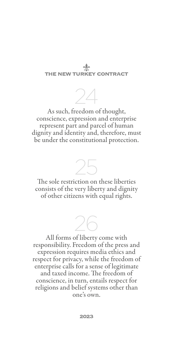ी<mark>.</mark><br>RKEY CONTRACT THE NEW TUR



As such, freedom of thought, conscience, expression and enterprise represent part and parcel of human dignity and identity and, therefore, must be under the constitutional protection.



The sole restriction on these liberties consists of the very liberty and dignity of other citizens with equal rights.

26

All forms of liberty come with responsibility. Freedom of the press and expression requires media ethics and respect for privacy, while the freedom of enterprise calls for a sense of legitimate and taxed income. The freedom of conscience, in turn, entails respect for religions and belief systems other than one's own.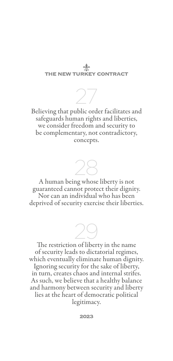## $\mathcal{C}$ <br>THE NEW TURKEY CONTRACT



Believing that public order facilitates and safeguards human rights and liberties, we consider freedom and security to be complementary, not contradictory, concepts.



A human being whose liberty is not guaranteed cannot protect their dignity. Nor can an individual who has been deprived of security exercise their liberties.

29

The restriction of liberty in the name of security leads to dictatorial regimes, which eventually eliminate human dignity. Ignoring security for the sake of liberty, in turn, creates chaos and internal strifes. As such, we believe that a healthy balance and harmony between security and liberty lies at the heart of democratic political legitimacy.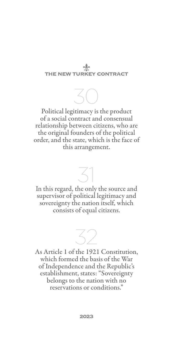### ୍ଗୀ୍ମ:<br>RKEY CONTRACT THE NEW TUR



Political legitimacy is the product of a social contract and consensual relationship between citizens, who are the original founders of the political order, and the state, which is the face of this arrangement.



In this regard, the only the source and supervisor of political legitimacy and sovereignty the nation itself, which consists of equal citizens.



As Article 1 of the 1921 Constitution, which formed the basis of the War of Independence and the Republic's establishment, states: "Sovereignty belongs to the nation with no reservations or conditions."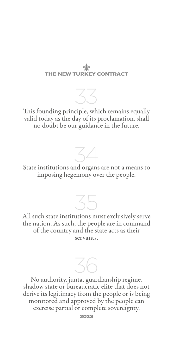## י*יי היי היים יום היים בי*דוב NEW THE NEW TURKEY CONTRACT



This founding principle, which remains equally valid today as the day of its proclamation, shall no doubt be our guidance in the future.

34

State institutions and organs are not a means to imposing hegemony over the people.

All such state institutions must exclusively serve the nation. As such, the people are in command 35

of the country and the state acts as their servants.

No authority, junta, guardianship regime, shadow state or bureaucratic elite that does not derive its legitimacy from the people or is being monitored and approved by the people can exercise partial or complete sovereignty.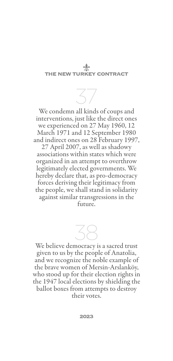## $\frac{1}{2}$ <br>THE NEW TURKEY CONTRACT



We condemn all kinds of coups and interventions, just like the direct ones we experienced on 27 May 1960, 12 March 1971 and 12 September 1980 and indirect ones on 28 February 1997, 27 April 2007, as well as shadowy associations within states which were organized in an attempt to overthrow legitimately elected governments. We hereby declare that, as pro-democracy forces deriving their legitimacy from the people, we shall stand in solidarity against similar transgressions in the future.

38

We believe democracy is a sacred trust given to us by the people of Anatolia, and we recognize the noble example of the brave women of Mersin-Arslanköy, who stood up for their election rights in the 1947 local elections by shielding the ballot boxes from attempts to destroy their votes.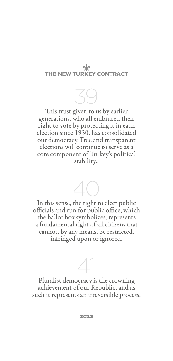

This trust given to us by earlier generations, who all embraced their right to vote by protecting it in each election since 1950, has consolidated our democracy. Free and transparent elections will continue to serve as a core component of Turkey's political stability..



In this sense, the right to elect public officials and run for public office, which the ballot box symbolizes, represents a fundamental right of all citizens that cannot, by any means, be restricted, infringed upon or ignored.

41

Pluralist democracy is the crowning achievement of our Republic, and as such it represents an irreversible process.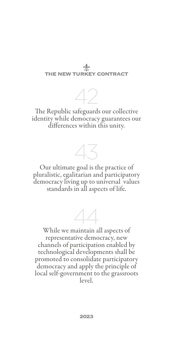

The Republic safeguards our collective identity while democracy guarantees our differences within this unity.

Our ultimate goal is the practice of pluralistic, egalitarian and participatory democracy living up to universal values standards in all aspects of life.

43

 $\triangle$ 

While we maintain all aspects of representative democracy, new channels of participation enabled by technological developments shall be promoted to consolidate participatory democracy and apply the principle of local self-government to the grassroots level.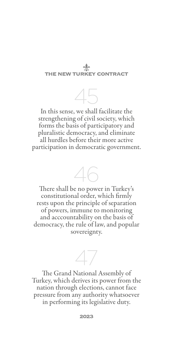

In this sense, we shall facilitate the strengthening of civil society, which forms the basis of participatory and pluralistic democracy, and eliminate all hurdles before their more active participation in democratic government.



There shall be no power in Turkey's constitutional order, which firmly rests upon the principle of separation of powers, immune to monitoring and acccountability on the basis of democracy, the rule of law, and popular sovereignty.

47

The Grand National Assembly of Turkey, which derives its power from the nation through elections, cannot face pressure from any authority whatsoever in performing its legislative duty.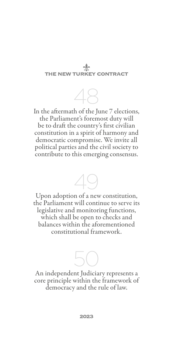

In the aftermath of the June 7 elections, the Parliament's foremost duty will be to draft the country's first civilian constitution in a spirit of harmony and democratic compromise. We invite all political parties and the civil society to contribute to this emerging consensus.



Upon adoption of a new constitution, the Parliament will continue to serve its legislative and monitoring functions, which shall be open to checks and balances within the aforementioned constitutional framework.



An independent Judiciary represents a core principle within the framework of democracy and the rule of law.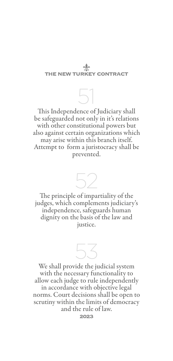#### ୁୀ୍⁄<br>RKEY CONTRACT THE NEW TUR

51

This Independence of Judiciary shall be safeguarded not only in it's relations with other constitutional powers but also against certain organizations which may arise within this branch itself. Attempt to form a juristocracy shall be prevented.



The principle of impartiality of the judges, which complements judiciary's independence, safeguards human dignity on the basis of the law and justice.



We shall provide the judicial system with the necessary functionality to allow each judge to rule independently in accordance with objective legal norms. Court decisions shall be open to scrutiny within the limits of democracy and the rule of law. 2023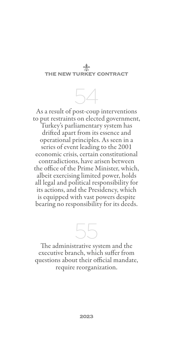

As a result of post-coup interventions to put restraints on elected government, Turkey's parliamentary system has drifted apart from its essence and operational principles. As seen in a series of event leading to the 2001 economic crisis, certain constitutional contradictions, have arisen between the office of the Prime Minister, which, albeit exercising limited power, holds all legal and political responsibility for its actions, and the Presidency, which is equipped with vast powers despite bearing no responsibility for its deeds.



The administrative system and the executive branch, which suffer from questions about their official mandate, require reorganization.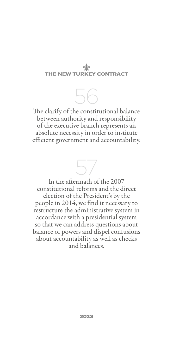### <mark>ୁ⁄</mark>୍ଟ<br>RKEY CONTRACT THE NEW TUR

## 56

The clarify of the constitutional balance between authority and responsibility of the executive branch represents an absolute necessity in order to institute efficient government and accountability.

 $5/$ 

In the aftermath of the 2007 constitutional reforms and the direct election of the President's by the people in 2014, we find it necessary to restructure the administrative system in accordance with a presidential system so that we can address questions about balance of powers and dispel confusions about accountability as well as checks and balances.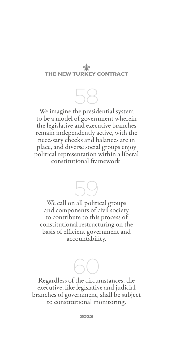### ୍ଗୀ୍ମ:<br>RKEY CONTRACT THE NEW TUR



We imagine the presidential system to be a model of government wherein the legislative and executive branches remain independently active, with the necessary checks and balances are in place, and diverse social groups enjoy political representation within a liberal constitutional framework.



We call on all political groups and components of civil society to contribute to this process of constitutional restructuring on the basis of efficient government and accountability.



Regardless of the circumstances, the executive, like legislative and judicial branches of government, shall be subject to constitutional monitoring.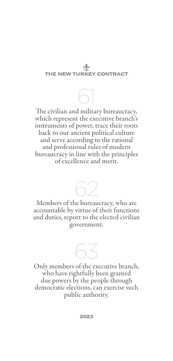### ୍ମୀ<mark>୍ମ</mark><br>!RKEY CONTRACT THE NEW TUR

# 61

The civilian and military bureaucracy, which represent the executive branch's instruments of power, trace their roots back to our ancient political culture and serve according to the rational and professional rules of modern bureaucracy in line with the principles of excellence and merit.



Members of the bureaucracy, who are accountable by virtue of their functions and duties, report to the elected civilian government.



Only members of the executive branch, who have rightfully been granted due powers by the people through democratic elections, can exercise such public authority.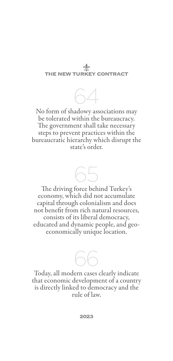## م¶<br>THE NEW TURKEY CONTRACT



No form of shadowy associations may be tolerated within the bureaucracy. The government shall take necessary steps to prevent practices within the bureaucratic hierarchy which disrupt the state's order.



The driving force behind Turkey's economy, which did not accumulate capital through colonialism and does not benefit from rich natural resources, consists of its liberal democracy, educated and dynamic people, and geoeconomically unique location.



Today, all modern cases clearly indicate that economic development of a country is directly linked to democracy and the rule of law.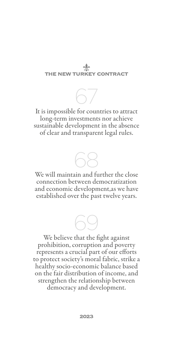

It is impossible for countries to attract long-term investments nor achieve sustainable development in the absence of clear and transparent legal rules.



68



We believe that the fight against prohibition, corruption and poverty represents a crucial part of our efforts to protect society's moral fabric, strike a healthy socio-economic balance based on the fair distribution of income, and strengthen the relationship between democracy and development.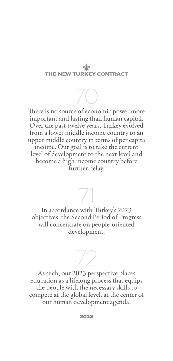م¶<br>THE NEW TURKEY CONTRACT

# 70

There is no source of economic power more important and lasting than human capital. Over the past twelve years, Turkey evolved from a lower middle income country to an upper middle country in terms of per capita income. Our goal is to take the current level of development to the next level and become a high income country before further delay.

71

In accordance with Turkey's 2023 objectives, the Second Period of Progress will concentrate on people-oriented development.

72

As such, our 2023 perspective places education as a lifelong process that equips the people with the necessary skills to compete at the global level, at the center of our human development agenda.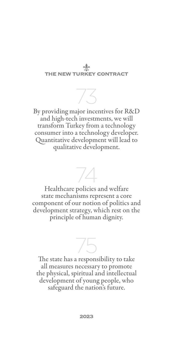

By providing major incentives for R&D and high-tech investments, we will transform Turkey from a technology consumer into a technology developer. Quantitative development will lead to qualitative development.



Healthcare policies and welfare state mechanisms represent a core component of our notion of politics and development strategy, which rest on the principle of human dignity.



The state has a responsibility to take all measures necessary to promote the physical, spiritual and intellectual development of young people, who safeguard the nation's future.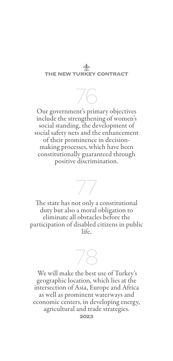Our government's primary objectives include the strengthening of women's social standing, the development of social safety nets and the enhancement of their prominence in decisionmaking processes, which have been constitutionally guaranteed through positive discrimination. 76

77

The state has not only a constitutional duty but also a moral obligation to eliminate all obstacles before the participation of disabled citizens in public life.



 We will make the best use of Turkey's geographic location, which lies at the intersection of Asia, Europe and Africa as well as prominent waterways and economic centers, in developing energy, agricultural and trade strategies. 2023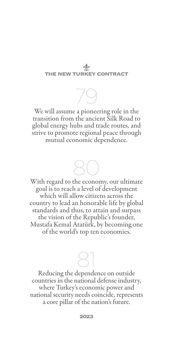## ↑ ↑<br>THE NEW TURKEY CONTRACT



We will assume a pioneering role in the transition from the ancient Silk Road to global energy hubs and trade routes, and strive to promote regional peace through mutual economic dependence.

With regard to the economy, our ultimate goal is to reach a level of development which will allow citizens across the country to lead an honorable life by global standards and thus, to attain and surpass the vision of the Republic's founder, Mustafa Kemal Atatürk, by becoming one of the world's top ten economies.

 $\prec$ ( )



 $31$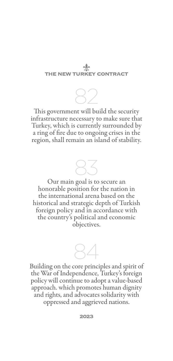

This government will build the security infrastructure necessary to make sure that Turkey, which is currently surrounded by a ring of fire due to ongoing crises in the region, shall remain an island of stability.

Our main goal is to secure an honorable position for the nation in the international arena based on the historical and strategic depth of Turkish foreign policy and in accordance with the country's political and economic objectives. 83



Building on the core principles and spirit of the War of Independence, Turkey's foreign policy will continue to adopt a value-based approach. which promotes human dignity and rights, and advocates solidarity with oppressed and aggrieved nations.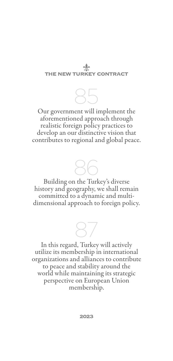

Our government will implement the aforementioned approach through realistic foreign policy practices to develop an our distinctive vision that contributes to regional and global peace.

Building on the Turkey's diverse history and geography, we shall remain committed to a dynamic and multidimensional approach to foreign policy.

86

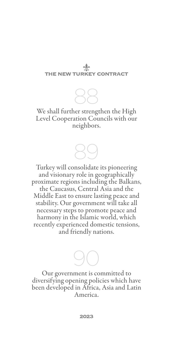

We shall further strengthen the High Level Cooperation Councils with our neighbors.

89

Turkey will consolidate its pioneering and visionary role in geographically proximate regions including the Balkans, the Caucasus, Central Asia and the Middle East to ensure lasting peace and stability. Our government will take all necessary steps to promote peace and harmony in the Islamic world, which recently experienced domestic tensions, and friendly nations.



Our government is committed to diversifying opening policies which have been developed in Africa, Asia and Latin America.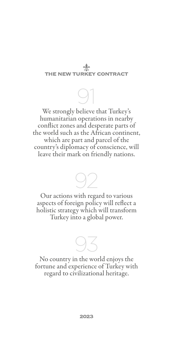## $\bigcup \bigl[$

We strongly believe that Turkey's humanitarian operations in nearby conflict zones and desperate parts of the world such as the African continent, which are part and parcel of the country's diplomacy of conscience, will leave their mark on friendly nations.



Our actions with regard to various aspects of foreign policy will reflect a holistic strategy which will transform Turkey into a global power.



No country in the world enjoys the fortune and experience of Turkey with regard to civilizational heritage.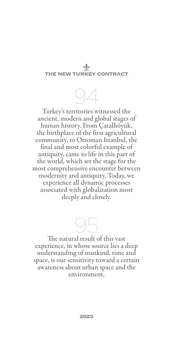## م¶<br>THE NEW TURKEY CONTRACT



Turkey's territories witnessed the ancient, modern and global stages of human history. From Çatalhöyük, the birthplace of the first agricultural community, to Ottoman Istanbul, the final and most colorful example of antiquity, came to life in this part of the world, which set the stage for the most comprehensive encounter between modernity and antiquity. Today, we experience all dynamic processes associated with globalization most deeply and closely.

The natural result of this vast experience, in whose source lies a deep understanding of mankind, time and space, is our sensitivity toward a certain awareness about urban space and the environment.

 $-$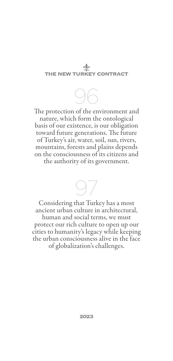## $\%$ <br>THE NEW TURKEY CONTRACT

## 96

The protection of the environment and nature, which form the ontological basis of our existence, is our obligation toward future generations. The future of Turkey's air, water, soil, sun, rivers, mountains, forests and plains depends on the consciousness of its citizens and the authority of its government.

97

Considering that Turkey has a most ancient urban culture in architectural, human and social terms, we must protect our rich culture to open up our cities to humanity's legacy while keeping the urban consciousness alive in the face of globalization's challenges.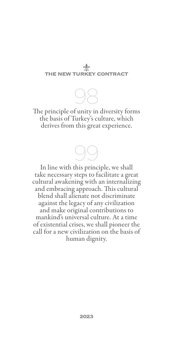## י*יי היי יון.*<br>THE NEW TURKEY CONTRACT



The principle of unity in diversity forms the basis of Turkey's culture, which derives from this great experience.



In line with this principle, we shall take necessary steps to facilitate a great cultural awakening with an internalizing and embracing approach. This cultural blend shall alienate not discriminate against the legacy of any civilization and make original contributions to mankind's universal culture. At a time of existential crises, we shall pioneer the call for a new civilization on the basis of human dignity.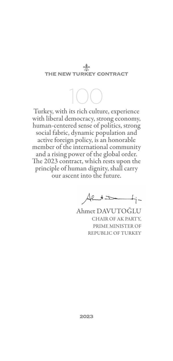### م¶<br>THE NEW TURKEY CONTRACT

 $1()()$ 

Turkey, with its rich culture, experience with liberal democracy, strong economy, human-centered sense of politics, strong social fabric, dynamic population and active foreign policy, is an honorable member of the international community and a rising power of the global order. The 2023 contract, which rests upon the principle of human dignity, shall carry our ascent into the future.

 $A$ et  $\rightarrow$ 

Ahmet DAVUTOĞLU CHAIR OF AK PARTY, PRIME MINISTER OF REPUBLIC OF TURKEY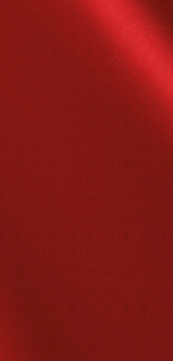